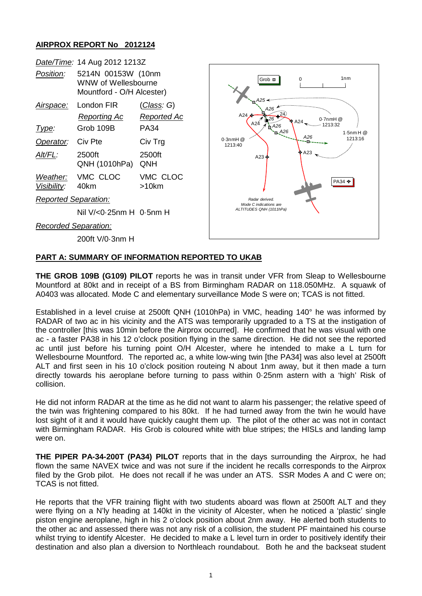## **AIRPROX REPORT No 2012124**



## **PART A: SUMMARY OF INFORMATION REPORTED TO UKAB**

**THE GROB 109B (G109) PILOT** reports he was in transit under VFR from Sleap to Wellesbourne Mountford at 80kt and in receipt of a BS from Birmingham RADAR on 118.050MHz. A squawk of A0403 was allocated. Mode C and elementary surveillance Mode S were on; TCAS is not fitted.

Established in a level cruise at 2500ft QNH (1010hPa) in VMC, heading 140° he was informed by RADAR of two ac in his vicinity and the ATS was temporarily upgraded to a TS at the instigation of the controller [this was 10min before the Airprox occurred]. He confirmed that he was visual with one ac - a faster PA38 in his 12 o'clock position flying in the same direction. He did not see the reported ac until just before his turning point O/H Alcester, where he intended to make a L turn for Wellesbourne Mountford. The reported ac, a white low-wing twin [the PA34] was also level at 2500ft ALT and first seen in his 10 o'clock position routeing N about 1nm away, but it then made a turn directly towards his aeroplane before turning to pass within 0·25nm astern with a 'high' Risk of collision.

He did not inform RADAR at the time as he did not want to alarm his passenger; the relative speed of the twin was frightening compared to his 80kt. If he had turned away from the twin he would have lost sight of it and it would have quickly caught them up. The pilot of the other ac was not in contact with Birmingham RADAR. His Grob is coloured white with blue stripes; the HISLs and landing lamp were on.

**THE PIPER PA-34-200T (PA34) PILOT** reports that in the days surrounding the Airprox, he had flown the same NAVEX twice and was not sure if the incident he recalls corresponds to the Airprox filed by the Grob pilot. He does not recall if he was under an ATS. SSR Modes A and C were on; TCAS is not fitted.

He reports that the VFR training flight with two students aboard was flown at 2500ft ALT and they were flying on a N'ly heading at 140kt in the vicinity of Alcester, when he noticed a 'plastic' single piston engine aeroplane, high in his 2 o'clock position about 2nm away. He alerted both students to the other ac and assessed there was not any risk of a collision, the student PF maintained his course whilst trying to identify Alcester. He decided to make a L level turn in order to positively identify their destination and also plan a diversion to Northleach roundabout. Both he and the backseat student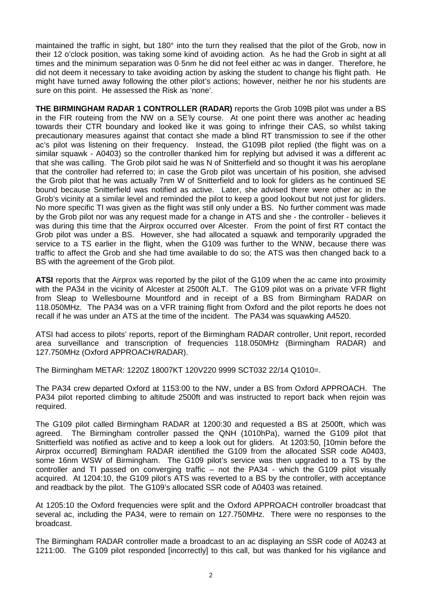maintained the traffic in sight, but 180° into the turn they realised that the pilot of the Grob, now in their 12 o'clock position, was taking some kind of avoiding action. As he had the Grob in sight at all times and the minimum separation was 0·5nm he did not feel either ac was in danger. Therefore, he did not deem it necessary to take avoiding action by asking the student to change his flight path. He might have turned away following the other pilot's actions; however, neither he nor his students are sure on this point. He assessed the Risk as 'none'.

**THE BIRMINGHAM RADAR 1 CONTROLLER (RADAR)** reports the Grob 109B pilot was under a BS in the FIR routeing from the NW on a SE'ly course. At one point there was another ac heading towards their CTR boundary and looked like it was going to infringe their CAS, so whilst taking precautionary measures against that contact she made a blind RT transmission to see if the other ac's pilot was listening on their frequency. Instead, the G109B pilot replied (the flight was on a similar squawk - A0403) so the controller thanked him for replying but advised it was a different ac that she was calling. The Grob pilot said he was N of Snitterfield and so thought it was his aeroplane that the controller had referred to; in case the Grob pilot was uncertain of his position, she advised the Grob pilot that he was actually 7nm W of Snitterfield and to look for gliders as he continued SE bound because Snitterfield was notified as active. Later, she advised there were other ac in the Grob's vicinity at a similar level and reminded the pilot to keep a good lookout but not just for gliders. No more specific TI was given as the flight was still only under a BS. No further comment was made by the Grob pilot nor was any request made for a change in ATS and she - the controller - believes it was during this time that the Airprox occurred over Alcester. From the point of first RT contact the Grob pilot was under a BS. However, she had allocated a squawk and temporarily upgraded the service to a TS earlier in the flight, when the G109 was further to the WNW, because there was traffic to affect the Grob and she had time available to do so; the ATS was then changed back to a BS with the agreement of the Grob pilot.

**ATSI** reports that the Airprox was reported by the pilot of the G109 when the ac came into proximity with the PA34 in the vicinity of Alcester at 2500ft ALT. The G109 pilot was on a private VFR flight from Sleap to Wellesbourne Mountford and in receipt of a BS from Birmingham RADAR on 118.050MHz. The PA34 was on a VFR training flight from Oxford and the pilot reports he does not recall if he was under an ATS at the time of the incident. The PA34 was squawking A4520.

ATSI had access to pilots' reports, report of the Birmingham RADAR controller, Unit report, recorded area surveillance and transcription of frequencies 118.050MHz (Birmingham RADAR) and 127.750MHz (Oxford APPROACH/RADAR).

The Birmingham METAR: 1220Z 18007KT 120V220 9999 SCT032 22/14 Q1010=.

The PA34 crew departed Oxford at 1153:00 to the NW, under a BS from Oxford APPROACH. The PA34 pilot reported climbing to altitude 2500ft and was instructed to report back when rejoin was required.

The G109 pilot called Birmingham RADAR at 1200:30 and requested a BS at 2500ft, which was agreed. The Birmingham controller passed the QNH (1010hPa), warned the G109 pilot that Snitterfield was notified as active and to keep a look out for gliders. At 1203:50, [10min before the Airprox occurred] Birmingham RADAR identified the G109 from the allocated SSR code A0403, some 16nm WSW of Birmingham. The G109 pilot's service was then upgraded to a TS by the controller and TI passed on converging traffic – not the PA34 - which the G109 pilot visually acquired. At 1204:10, the G109 pilot's ATS was reverted to a BS by the controller, with acceptance and readback by the pilot. The G109's allocated SSR code of A0403 was retained.

At 1205:10 the Oxford frequencies were split and the Oxford APPROACH controller broadcast that several ac, including the PA34, were to remain on 127.750MHz. There were no responses to the broadcast.

The Birmingham RADAR controller made a broadcast to an ac displaying an SSR code of A0243 at 1211:00. The G109 pilot responded [incorrectly] to this call, but was thanked for his vigilance and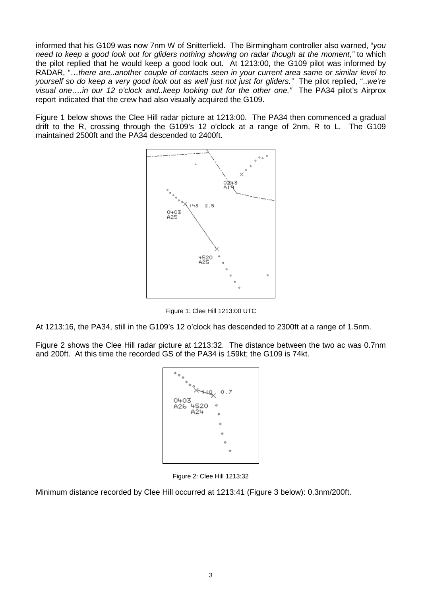informed that his G109 was now 7nm W of Snitterfield. The Birmingham controller also warned, "*you need to keep a good look out for gliders nothing showing on radar though at the moment,"* to which the pilot replied that he would keep a good look out. At 1213:00, the G109 pilot was informed by RADAR, "…*there are..another couple of contacts seen in your current area same or similar level to yourself so do keep a very good look out as well just not just for gliders."* The pilot replied, "..*we're visual one….in our 12 o'clock and..keep looking out for the other one."* The PA34 pilot's Airprox report indicated that the crew had also visually acquired the G109.

Figure 1 below shows the Clee Hill radar picture at 1213:00. The PA34 then commenced a gradual drift to the R, crossing through the G109's 12 o'clock at a range of 2nm, R to L. The G109 maintained 2500ft and the PA34 descended to 2400ft.



Figure 1: Clee Hill 1213:00 UTC

At 1213:16, the PA34, still in the G109's 12 o'clock has descended to 2300ft at a range of 1.5nm.

Figure 2 shows the Clee Hill radar picture at 1213:32. The distance between the two ac was 0.7nm and 200ft. At this time the recorded GS of the PA34 is 159kt; the G109 is 74kt.

| """xthe                        |  |
|--------------------------------|--|
| 0.7<br>0403<br>A26 4520<br>A24 |  |
| ÷<br>ó                         |  |
| ÷<br>♦                         |  |
|                                |  |

Figure 2: Clee Hill 1213:32

Minimum distance recorded by Clee Hill occurred at 1213:41 (Figure 3 below): 0.3nm/200ft.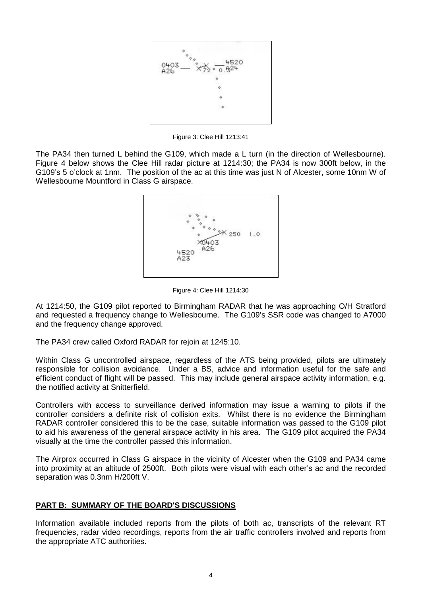

Figure 3: Clee Hill 1213:41

The PA34 then turned L behind the G109, which made a L turn (in the direction of Wellesbourne). Figure 4 below shows the Clee Hill radar picture at 1214:30; the PA34 is now 300ft below, in the G109's 5 o'clock at 1nm. The position of the ac at this time was just N of Alcester, some 10nm W of Wellesbourne Mountford in Class G airspace.



Figure 4: Clee Hill 1214:30

At 1214:50, the G109 pilot reported to Birmingham RADAR that he was approaching O/H Stratford and requested a frequency change to Wellesbourne. The G109's SSR code was changed to A7000 and the frequency change approved.

The PA34 crew called Oxford RADAR for rejoin at 1245:10.

Within Class G uncontrolled airspace, regardless of the ATS being provided, pilots are ultimately responsible for collision avoidance. Under a BS, advice and information useful for the safe and efficient conduct of flight will be passed. This may include general airspace activity information, e.g. the notified activity at Snitterfield.

Controllers with access to surveillance derived information may issue a warning to pilots if the controller considers a definite risk of collision exits. Whilst there is no evidence the Birmingham RADAR controller considered this to be the case, suitable information was passed to the G109 pilot to aid his awareness of the general airspace activity in his area. The G109 pilot acquired the PA34 visually at the time the controller passed this information.

The Airprox occurred in Class G airspace in the vicinity of Alcester when the G109 and PA34 came into proximity at an altitude of 2500ft. Both pilots were visual with each other's ac and the recorded separation was 0.3nm H/200ft V.

## **PART B: SUMMARY OF THE BOARD'S DISCUSSIONS**

Information available included reports from the pilots of both ac, transcripts of the relevant RT frequencies, radar video recordings, reports from the air traffic controllers involved and reports from the appropriate ATC authorities.